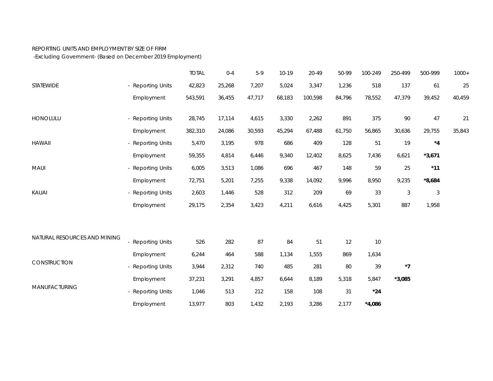## REPORTING UNITS AND EMPLOYMENT BY SIZE OF FIRM

-Excluding Government- (Based on December 2019 Employment)

|                              |                   | <b>TOTAL</b> | $0 - 4$ | $5-9$  | $10-19$ | 20-49   | 50-99  | 100-249  | 250-499    | 500-999                   | $1000+$ |
|------------------------------|-------------------|--------------|---------|--------|---------|---------|--------|----------|------------|---------------------------|---------|
| STATEWIDE                    | - Reporting Units | 42,823       | 25,268  | 7,207  | 5,024   | 3,347   | 1,236  | 518      | 137        | 61                        | 25      |
|                              | Employment        | 543,591      | 36,455  | 47,717 | 68,183  | 100,598 | 84,796 | 78,552   | 47,379     | 39,452                    | 40,459  |
| HONOLULU                     | - Reporting Units | 28,745       | 17,114  | 4,615  | 3,330   | 2,262   | 891    | 375      | 90         | 47                        | 21      |
|                              | Employment        | 382,310      | 24,086  | 30,593 | 45,294  | 67,488  | 61,750 | 56,865   | 30,636     | 29,755                    | 35,843  |
| <b>HAWAII</b>                | - Reporting Units | 5,470        | 3,195   | 978    | 686     | 409     | 128    | 51       | 19         | $*_{4}$                   |         |
|                              | Employment        | 59,355       | 4,814   | 6,446  | 9,340   | 12,402  | 8,625  | 7,436    | 6,621      | $*3,671$                  |         |
| <b>MAUI</b>                  | - Reporting Units | 6,005        | 3,513   | 1,086  | 696     | 467     | 148    | 59       | 25         | $*11$                     |         |
|                              | Employment        | 72,751       | 5,201   | 7,255  | 9,338   | 14,092  | 9,996  | 8,950    | 9,235      | $*8,684$                  |         |
| KAUAI                        | - Reporting Units | 2,603        | 1,446   | 528    | 312     | 209     | 69     | 33       | $\sqrt{3}$ | $\ensuremath{\mathsf{3}}$ |         |
|                              | Employment        | 29,175       | 2,354   | 3,423  | 4,211   | 6,616   | 4,425  | 5,301    | 887        | 1,958                     |         |
| NATURAL RESOURCES AND MINING |                   |              |         |        |         |         |        |          |            |                           |         |
|                              | - Reporting Units | 526          | 282     | 87     | 84      | 51      | 12     | 10       |            |                           |         |
| CONSTRUCTION                 | Employment        | 6,244        | 464     | 588    | 1,134   | 1,555   | 869    | 1,634    |            |                           |         |
|                              | - Reporting Units | 3,944        | 2,312   | 740    | 485     | 281     | 80     | 39       | $*7$       |                           |         |
| MANUFACTURING                | Employment        | 37,231       | 3,291   | 4,857  | 6,644   | 8,189   | 5,318  | 5,847    | $*3,085$   |                           |         |
|                              | - Reporting Units | 1,046        | 513     | 212    | 158     | 108     | 31     | $*24$    |            |                           |         |
|                              | Employment        | 13,977       | 803     | 1,432  | 2,193   | 3,286   | 2,177  | $*4,086$ |            |                           |         |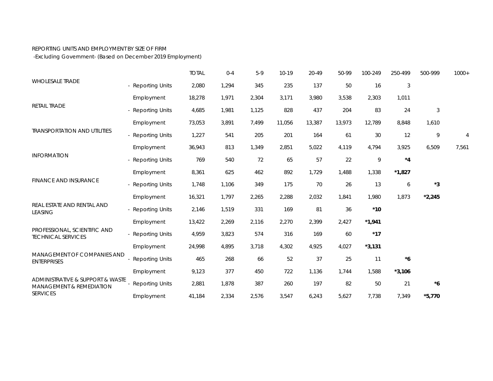## REPORTING UNITS AND EMPLOYMENT BY SIZE OF FIRM

-Excluding Government- (Based on December 2019 Employment)

| <b>WHOLESALE TRADE</b>                                                                     |                        | <b>TOTAL</b> | $0 - 4$ | $5-9$ | $10-19$ | 20-49  | 50-99  | 100-249  | 250-499  | 500-999                   | $1000+$        |
|--------------------------------------------------------------------------------------------|------------------------|--------------|---------|-------|---------|--------|--------|----------|----------|---------------------------|----------------|
|                                                                                            | - Reporting Units      | 2,080        | 1,294   | 345   | 235     | 137    | 50     | 16       | 3        |                           |                |
| RETAIL TRADE                                                                               | Employment             | 18,278       | 1,971   | 2,304 | 3,171   | 3,980  | 3,538  | 2,303    | 1,011    |                           |                |
|                                                                                            | - Reporting Units      | 4,685        | 1,981   | 1,125 | 828     | 437    | 204    | 83       | 24       | $\ensuremath{\mathsf{3}}$ |                |
|                                                                                            | Employment             | 73,053       | 3,891   | 7,499 | 11,056  | 13,387 | 13,973 | 12,789   | 8,848    | 1,610                     |                |
| <b>TRANSPORTATION AND UTILITIES</b>                                                        | - Reporting Units      | 1,227        | 541     | 205   | 201     | 164    | 61     | $30\,$   | 12       | 9                         | $\overline{4}$ |
| <b>INFORMATION</b>                                                                         | Employment             | 36,943       | 813     | 1,349 | 2,851   | 5,022  | 4,119  | 4,794    | 3,925    | 6,509                     | 7,561          |
|                                                                                            | - Reporting Units      | 769          | 540     | 72    | 65      | 57     | 22     | 9        | $*_{4}$  |                           |                |
|                                                                                            | Employment             | 8,361        | 625     | 462   | 892     | 1,729  | 1,488  | 1,338    | $*1,827$ |                           |                |
| <b>FINANCE AND INSURANCE</b>                                                               | - Reporting Units      | 1,748        | 1,106   | 349   | 175     | 70     | 26     | 13       | 6        | $^{\star}3$               |                |
| REAL ESTATE AND RENTAL AND<br><b>LEASING</b>                                               | Employment             | 16,321       | 1,797   | 2,265 | 2,288   | 2,032  | 1,841  | 1,980    | 1,873    | $*2,245$                  |                |
|                                                                                            | - Reporting Units      | 2,146        | 1,519   | 331   | 169     | 81     | 36     | $*10$    |          |                           |                |
|                                                                                            | Employment             | 13,422       | 2,269   | 2,116 | 2,270   | 2,399  | 2,427  | $*1,941$ |          |                           |                |
| PROFESSIONAL, SCIENTIFIC AND<br><b>TECHNICAL SERVICES</b>                                  | <b>Reporting Units</b> | 4,959        | 3,823   | 574   | 316     | 169    | 60     | $*17$    |          |                           |                |
|                                                                                            | Employment             | 24,998       | 4,895   | 3,718 | 4,302   | 4,925  | 4,027  | $*3,131$ |          |                           |                |
| MANAGEMENT OF COMPANIES AND<br><b>ENTERPRISES</b>                                          | <b>Reporting Units</b> | 465          | 268     | 66    | 52      | 37     | 25     | 11       | $*_{6}$  |                           |                |
| ADMINISTRATIVE & SUPPORT & WASTE<br><b>MANAGEMENT &amp; REMEDIATION</b><br><b>SERVICES</b> | Employment             | 9,123        | 377     | 450   | 722     | 1,136  | 1,744  | 1,588    | $*3,106$ |                           |                |
|                                                                                            | <b>Reporting Units</b> | 2,881        | 1,878   | 387   | 260     | 197    | 82     | 50       | 21       | $*_{6}$                   |                |
|                                                                                            | Employment             | 41,184       | 2,334   | 2,576 | 3,547   | 6,243  | 5,627  | 7,738    | 7,349    | $*5,770$                  |                |